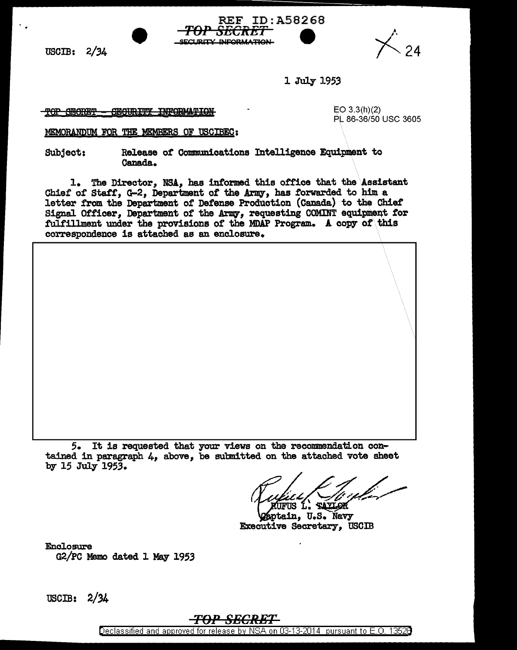USCIB: 2/34



l July 1953

ID:A58268

*TOP SECRET* 

SECURITY INFORMATION

TOP SECRET - SECURITY INFORMATION

EO  $3.3(h)(2)$ PL 86-36/50 USC 3605

MEMORANDUM FOR THE MEMBERS OF USCIBEC:

Subject: Release of Communications Intelligence Equipment to Canada.

1. The Director, NSA, has informed this office that the Assistant Chief of Staff, G-2, Department of the Army, has forwarded to him a letter from the Department of Defense Production (Canada) to the Chief Signal Officer, Department of the Army, requesting COMINT equipment for fulfillment under the provisions of the MDAP Program. A copy of this correspondence is attached as an enclosure.

*5.* It is requested that your views on the recommendation contained in paragraph 4, above, be submitted on the attached vote sheet by 15 July 1953.

MUFUS L. TAYLOK<br>Øsptain, U.S. Navy Executive Secretary, USCIB

Enclosure G2/PC Memo dated 1 May 1953

USCIB: 2/34

## <del>-TOP SECRET-</del>

Declassified and approved for release by NSA on 03-13-2014 pursuant to E. 0. 1352B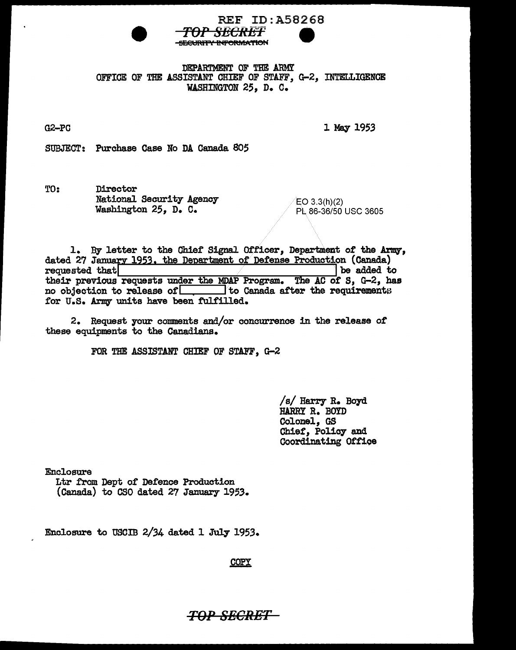

REF ID:A58268

DEPARTMENT OF THE ARMY OFFICE OF THE ASSISTANT CHIEF OF STAFF, G-2, INTELLIGENCE WASHINGTON 25. D. C.

G2-PC

1 May 1953

SUBJECT: Purchase Case No DA Canada 805

TO: Director National. Security Agency Washington 25, D. C.

 $EO$  3.3 $(h)(2)$ PL 86-36/50 USC 3605

1. By letter to the Chief Signal Officer, Department of the Army, dated 27 January 1953, the Department of Defense Production (Canada) requested that  $\vert$  be added to requested that **be added** to their previous requests under the MDAP Program. The AC of S, G-2, has no objection to release of ito Canada after the requirements for U.S. Army units have been fulfilled.

 $2.$  Request your comments and/or concurrence in the release of these equipments to the Canadians.

FOR THE ASSISTANT CHIEF OF STAFF, G-2

*Is/* Harry R. Boyd HARRY R. BOYD Colonel, GS Chief, Policy and Coordinating Oftioe

Enclosure

Ltr from Dept of Defence Production (Canada) to CSO dated 27 January 1953.

Enclosure to USCIB  $2/34$  dated 1 July 1953.

**COPY** 

TOP SECRET